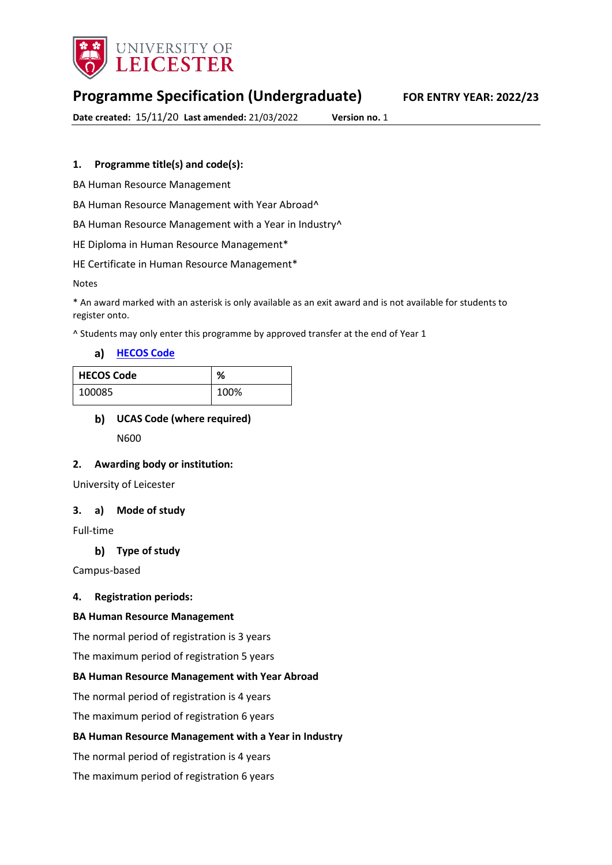

# **Programme Specification (Undergraduate) FOR ENTRY YEAR: 2022/23**

**Date created:** 15/11/20 **Last amended:** 21/03/2022 **Version no.** 1

## **1. Programme title(s) and code(s):**

BA Human Resource Management

BA Human Resource Management with Year Abroad^

BA Human Resource Management with a Year in Industry^

HE Diploma in Human Resource Management\*

HE Certificate in Human Resource Management\*

Notes

\* An award marked with an asterisk is only available as an exit award and is not available for students to register onto.

^ Students may only enter this programme by approved transfer at the end of Year 1

#### a) [HECOS Code](https://www.hesa.ac.uk/innovation/hecos)

| <b>HECOS Code</b> | ℅    |
|-------------------|------|
| 100085            | 100% |

# **UCAS Code (where required)** N600

#### **2. Awarding body or institution:**

University of Leicester

#### **3. a) Mode of study**

Full-time

#### **Type of study**

Campus-based

#### **4. Registration periods:**

#### **BA Human Resource Management**

The normal period of registration is 3 years

The maximum period of registration 5 years

#### **BA Human Resource Management with Year Abroad**

The normal period of registration is 4 years

The maximum period of registration 6 years

#### **BA Human Resource Management with a Year in Industry**

The normal period of registration is 4 years

The maximum period of registration 6 years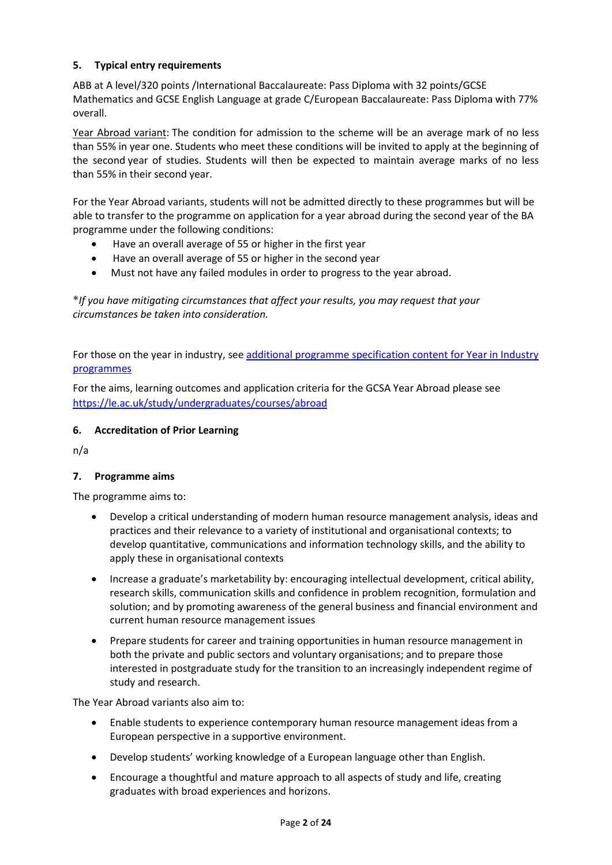## **5. Typical entry requirements**

ABB at A level/320 points /International Baccalaureate: Pass Diploma with 32 points/GCSE Mathematics and GCSE English Language at grade C/European Baccalaureate: Pass Diploma with 77% overall.

Year Abroad variant: The condition for admission to the scheme will be an average mark of no less than 55% in year one. Students who meet these conditions will be invited to apply at the beginning of the second year of studies. Students will then be expected to maintain average marks of no less than 55% in their second year.

For the Year Abroad variants, students will not be admitted directly to these programmes but will be able to transfer to the programme on application for a year abroad during the second year of the BA programme under the following conditions:

- Have an overall average of 55 or higher in the first year
- Have an overall average of 55 or higher in the second year
- Must not have any failed modules in order to progress to the year abroad.

**\****If you have mitigating circumstances that affect your results, you may request that your circumstances be taken into consideration.*

For those on the year in industry, se[e additional programme specification content for Year in Industry](https://www2.le.ac.uk/offices/sas2/courses/documentation/undergraduate-programme-specification-content-for-year-in-industry-programme-variants)  [programmes](https://www2.le.ac.uk/offices/sas2/courses/documentation/undergraduate-programme-specification-content-for-year-in-industry-programme-variants)

For the aims, learning outcomes and application criteria for the GCSA Year Abroad please see <https://le.ac.uk/study/undergraduates/courses/abroad>

# **6. Accreditation of Prior Learning**

n/a

#### **7. Programme aims**

The programme aims to:

- Develop a critical understanding of modern human resource management analysis, ideas and practices and their relevance to a variety of institutional and organisational contexts; to develop quantitative, communications and information technology skills, and the ability to apply these in organisational contexts
- Increase a graduate's marketability by: encouraging intellectual development, critical ability, research skills, communication skills and confidence in problem recognition, formulation and solution; and by promoting awareness of the general business and financial environment and current human resource management issues
- Prepare students for career and training opportunities in human resource management in both the private and public sectors and voluntary organisations; and to prepare those interested in postgraduate study for the transition to an increasingly independent regime of study and research.

The Year Abroad variants also aim to:

- Enable students to experience contemporary human resource management ideas from a European perspective in a supportive environment.
- Develop students' working knowledge of a European language other than English.
- Encourage a thoughtful and mature approach to all aspects of study and life, creating graduates with broad experiences and horizons.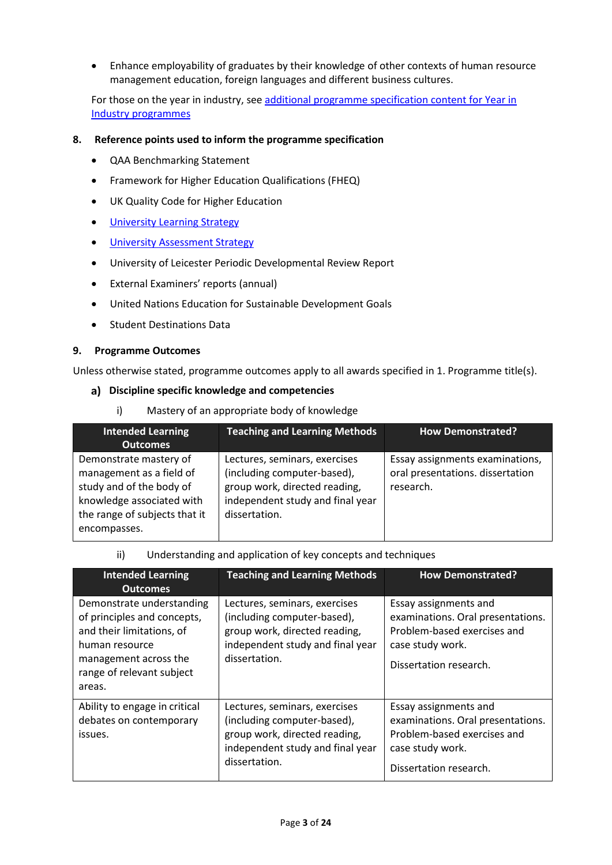• Enhance employability of graduates by their knowledge of other contexts of human resource management education, foreign languages and different business cultures.

For those on the year in industry, se[e additional programme specification content for Year in](https://www2.le.ac.uk/offices/sas2/courses/documentation/undergraduate-programme-specification-content-for-year-in-industry-programme-variants)  [Industry programmes](https://www2.le.ac.uk/offices/sas2/courses/documentation/undergraduate-programme-specification-content-for-year-in-industry-programme-variants)

#### **8. Reference points used to inform the programme specification**

- QAA Benchmarking Statement
- Framework for Higher Education Qualifications (FHEQ)
- UK Quality Code for Higher Education
- University Learnin[g Strategy](https://www2.le.ac.uk/offices/sas2/quality/learnteach)
- [University Assessment Strategy](https://www2.le.ac.uk/offices/sas2/quality/learnteach)
- University of Leicester Periodic Developmental Review Report
- External Examiners' reports (annual)
- United Nations Education for Sustainable Development Goals
- Student Destinations Data

#### **9. Programme Outcomes**

Unless otherwise stated, programme outcomes apply to all awards specified in 1. Programme title(s).

#### **Discipline specific knowledge and competencies**

i) Mastery of an appropriate body of knowledge

| <b>Intended Learning</b>                             | <b>Teaching and Learning Methods</b>                         | <b>How Demonstrated?</b>                      |
|------------------------------------------------------|--------------------------------------------------------------|-----------------------------------------------|
| <b>Outcomes</b>                                      |                                                              |                                               |
| Demonstrate mastery of                               | Lectures, seminars, exercises                                | Essay assignments examinations,               |
| management as a field of<br>study and of the body of | (including computer-based),<br>group work, directed reading, | oral presentations. dissertation<br>research. |
| knowledge associated with                            | independent study and final year                             |                                               |
| the range of subjects that it                        | dissertation.                                                |                                               |
| encompasses.                                         |                                                              |                                               |

#### ii) Understanding and application of key concepts and techniques

| <b>Intended Learning</b><br><b>Outcomes</b>                                                                                                                             | <b>Teaching and Learning Methods</b>                                                                                                               | <b>How Demonstrated?</b>                                                                                                                |
|-------------------------------------------------------------------------------------------------------------------------------------------------------------------------|----------------------------------------------------------------------------------------------------------------------------------------------------|-----------------------------------------------------------------------------------------------------------------------------------------|
| Demonstrate understanding<br>of principles and concepts,<br>and their limitations, of<br>human resource<br>management across the<br>range of relevant subject<br>areas. | Lectures, seminars, exercises<br>(including computer-based),<br>group work, directed reading,<br>independent study and final year<br>dissertation. | Essay assignments and<br>examinations. Oral presentations.<br>Problem-based exercises and<br>case study work.<br>Dissertation research. |
| Ability to engage in critical<br>debates on contemporary<br>issues.                                                                                                     | Lectures, seminars, exercises<br>(including computer-based),<br>group work, directed reading,<br>independent study and final year<br>dissertation. | Essay assignments and<br>examinations. Oral presentations.<br>Problem-based exercises and<br>case study work.<br>Dissertation research. |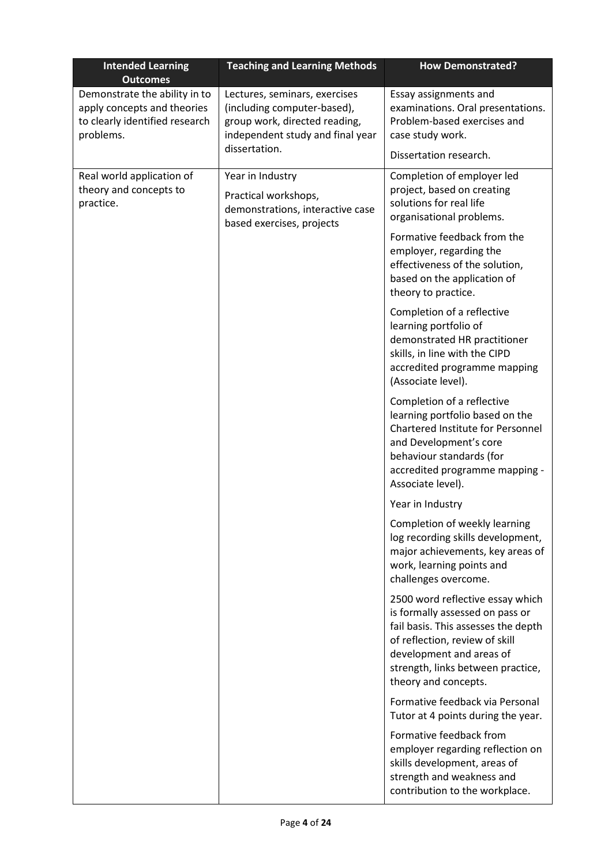| <b>Intended Learning</b><br><b>Outcomes</b>                                                                 | <b>Teaching and Learning Methods</b>                                                                                              | <b>How Demonstrated?</b>                                                                                                                                                                                                              |
|-------------------------------------------------------------------------------------------------------------|-----------------------------------------------------------------------------------------------------------------------------------|---------------------------------------------------------------------------------------------------------------------------------------------------------------------------------------------------------------------------------------|
| Demonstrate the ability in to<br>apply concepts and theories<br>to clearly identified research<br>problems. | Lectures, seminars, exercises<br>(including computer-based),<br>group work, directed reading,<br>independent study and final year | Essay assignments and<br>examinations. Oral presentations.<br>Problem-based exercises and<br>case study work.                                                                                                                         |
|                                                                                                             | dissertation.                                                                                                                     | Dissertation research.                                                                                                                                                                                                                |
| Real world application of<br>theory and concepts to<br>practice.                                            | Year in Industry<br>Practical workshops,<br>demonstrations, interactive case<br>based exercises, projects                         | Completion of employer led<br>project, based on creating<br>solutions for real life<br>organisational problems.                                                                                                                       |
|                                                                                                             |                                                                                                                                   | Formative feedback from the<br>employer, regarding the<br>effectiveness of the solution,<br>based on the application of<br>theory to practice.                                                                                        |
|                                                                                                             |                                                                                                                                   | Completion of a reflective<br>learning portfolio of<br>demonstrated HR practitioner<br>skills, in line with the CIPD<br>accredited programme mapping<br>(Associate level).                                                            |
|                                                                                                             |                                                                                                                                   | Completion of a reflective<br>learning portfolio based on the<br>Chartered Institute for Personnel<br>and Development's core<br>behaviour standards (for<br>accredited programme mapping -<br>Associate level).                       |
|                                                                                                             |                                                                                                                                   | Year in Industry                                                                                                                                                                                                                      |
|                                                                                                             |                                                                                                                                   | Completion of weekly learning<br>log recording skills development,<br>major achievements, key areas of<br>work, learning points and<br>challenges overcome.                                                                           |
|                                                                                                             |                                                                                                                                   | 2500 word reflective essay which<br>is formally assessed on pass or<br>fail basis. This assesses the depth<br>of reflection, review of skill<br>development and areas of<br>strength, links between practice,<br>theory and concepts. |
|                                                                                                             |                                                                                                                                   | Formative feedback via Personal<br>Tutor at 4 points during the year.                                                                                                                                                                 |
|                                                                                                             |                                                                                                                                   | Formative feedback from<br>employer regarding reflection on<br>skills development, areas of<br>strength and weakness and<br>contribution to the workplace.                                                                            |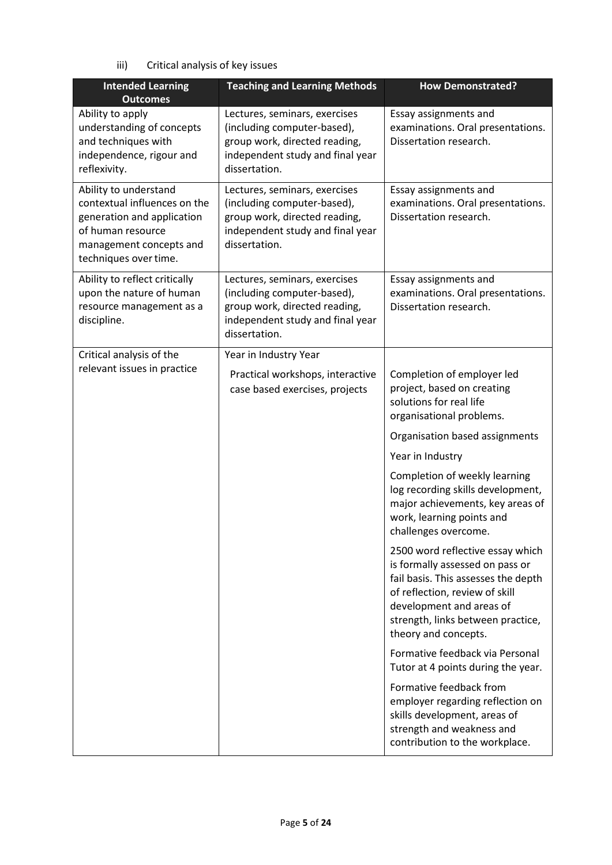iii) Critical analysis of key issues

| <b>Intended Learning</b><br><b>Outcomes</b>                                                                                                                  | <b>Teaching and Learning Methods</b>                                                                                                               | <b>How Demonstrated?</b>                                                                                                                                                                                                              |
|--------------------------------------------------------------------------------------------------------------------------------------------------------------|----------------------------------------------------------------------------------------------------------------------------------------------------|---------------------------------------------------------------------------------------------------------------------------------------------------------------------------------------------------------------------------------------|
| Ability to apply<br>understanding of concepts<br>and techniques with<br>independence, rigour and<br>reflexivity.                                             | Lectures, seminars, exercises<br>(including computer-based),<br>group work, directed reading,<br>independent study and final year<br>dissertation. | Essay assignments and<br>examinations. Oral presentations.<br>Dissertation research.                                                                                                                                                  |
| Ability to understand<br>contextual influences on the<br>generation and application<br>of human resource<br>management concepts and<br>techniques over time. | Lectures, seminars, exercises<br>(including computer-based),<br>group work, directed reading,<br>independent study and final year<br>dissertation. | Essay assignments and<br>examinations. Oral presentations.<br>Dissertation research.                                                                                                                                                  |
| Ability to reflect critically<br>upon the nature of human<br>resource management as a<br>discipline.                                                         | Lectures, seminars, exercises<br>(including computer-based),<br>group work, directed reading,<br>independent study and final year<br>dissertation. | Essay assignments and<br>examinations. Oral presentations.<br>Dissertation research.                                                                                                                                                  |
| Critical analysis of the                                                                                                                                     | Year in Industry Year                                                                                                                              |                                                                                                                                                                                                                                       |
| relevant issues in practice                                                                                                                                  | Practical workshops, interactive<br>case based exercises, projects                                                                                 | Completion of employer led<br>project, based on creating<br>solutions for real life<br>organisational problems.                                                                                                                       |
|                                                                                                                                                              |                                                                                                                                                    | Organisation based assignments                                                                                                                                                                                                        |
|                                                                                                                                                              |                                                                                                                                                    | Year in Industry                                                                                                                                                                                                                      |
|                                                                                                                                                              |                                                                                                                                                    | Completion of weekly learning<br>log recording skills development,<br>major achievements, key areas of<br>work, learning points and<br>challenges overcome.                                                                           |
|                                                                                                                                                              |                                                                                                                                                    | 2500 word reflective essay which<br>is formally assessed on pass or<br>fail basis. This assesses the depth<br>of reflection, review of skill<br>development and areas of<br>strength, links between practice,<br>theory and concepts. |
|                                                                                                                                                              |                                                                                                                                                    | Formative feedback via Personal<br>Tutor at 4 points during the year.                                                                                                                                                                 |
|                                                                                                                                                              |                                                                                                                                                    | Formative feedback from<br>employer regarding reflection on<br>skills development, areas of<br>strength and weakness and<br>contribution to the workplace.                                                                            |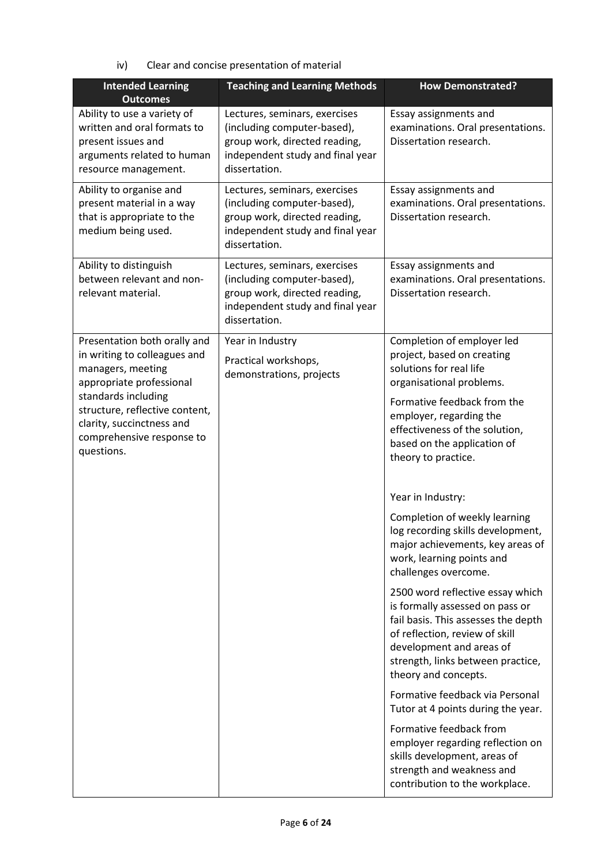iv) Clear and concise presentation of material

| <b>Intended Learning</b><br><b>Outcomes</b>                                                                                            | <b>Teaching and Learning Methods</b>                                                                                                               | <b>How Demonstrated?</b>                                                                                                                                                                                                              |
|----------------------------------------------------------------------------------------------------------------------------------------|----------------------------------------------------------------------------------------------------------------------------------------------------|---------------------------------------------------------------------------------------------------------------------------------------------------------------------------------------------------------------------------------------|
| Ability to use a variety of<br>written and oral formats to<br>present issues and<br>arguments related to human<br>resource management. | Lectures, seminars, exercises<br>(including computer-based),<br>group work, directed reading,<br>independent study and final year<br>dissertation. | Essay assignments and<br>examinations. Oral presentations.<br>Dissertation research.                                                                                                                                                  |
| Ability to organise and<br>present material in a way<br>that is appropriate to the<br>medium being used.                               | Lectures, seminars, exercises<br>(including computer-based),<br>group work, directed reading,<br>independent study and final year<br>dissertation. | Essay assignments and<br>examinations. Oral presentations.<br>Dissertation research.                                                                                                                                                  |
| Ability to distinguish<br>between relevant and non-<br>relevant material.                                                              | Lectures, seminars, exercises<br>(including computer-based),<br>group work, directed reading,<br>independent study and final year<br>dissertation. | Essay assignments and<br>examinations. Oral presentations.<br>Dissertation research.                                                                                                                                                  |
| Presentation both orally and<br>in writing to colleagues and<br>managers, meeting<br>appropriate professional                          | Year in Industry<br>Practical workshops,<br>demonstrations, projects                                                                               | Completion of employer led<br>project, based on creating<br>solutions for real life<br>organisational problems.                                                                                                                       |
| standards including<br>structure, reflective content,<br>clarity, succinctness and<br>comprehensive response to<br>questions.          |                                                                                                                                                    | Formative feedback from the<br>employer, regarding the<br>effectiveness of the solution,<br>based on the application of<br>theory to practice.                                                                                        |
|                                                                                                                                        |                                                                                                                                                    | Year in Industry:                                                                                                                                                                                                                     |
|                                                                                                                                        |                                                                                                                                                    | Completion of weekly learning<br>log recording skills development,<br>major achievements, key areas of<br>work, learning points and<br>challenges overcome.                                                                           |
|                                                                                                                                        |                                                                                                                                                    | 2500 word reflective essay which<br>is formally assessed on pass or<br>fail basis. This assesses the depth<br>of reflection, review of skill<br>development and areas of<br>strength, links between practice,<br>theory and concepts. |
|                                                                                                                                        |                                                                                                                                                    | Formative feedback via Personal<br>Tutor at 4 points during the year.                                                                                                                                                                 |
|                                                                                                                                        |                                                                                                                                                    | Formative feedback from<br>employer regarding reflection on<br>skills development, areas of<br>strength and weakness and<br>contribution to the workplace.                                                                            |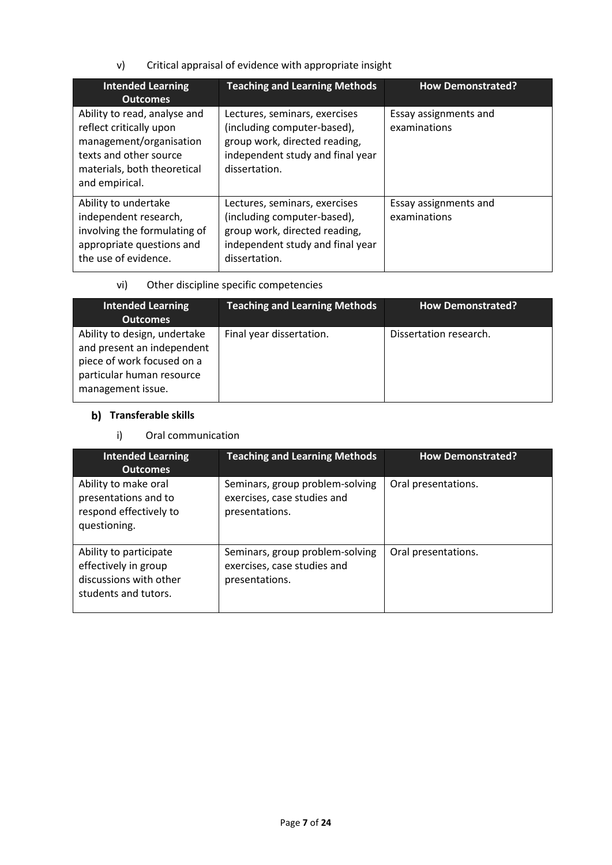v) Critical appraisal of evidence with appropriate insight

| <b>Intended Learning</b><br><b>Outcomes</b>                                                                                                                   | <b>Teaching and Learning Methods</b>                                                                                                               | <b>How Demonstrated?</b>              |
|---------------------------------------------------------------------------------------------------------------------------------------------------------------|----------------------------------------------------------------------------------------------------------------------------------------------------|---------------------------------------|
| Ability to read, analyse and<br>reflect critically upon<br>management/organisation<br>texts and other source<br>materials, both theoretical<br>and empirical. | Lectures, seminars, exercises<br>(including computer-based),<br>group work, directed reading,<br>independent study and final year<br>dissertation. | Essay assignments and<br>examinations |
| Ability to undertake<br>independent research,<br>involving the formulating of<br>appropriate questions and<br>the use of evidence.                            | Lectures, seminars, exercises<br>(including computer-based),<br>group work, directed reading,<br>independent study and final year<br>dissertation. | Essay assignments and<br>examinations |

## vi) Other discipline specific competencies

| <b>Intended Learning</b><br><b>Outcomes</b>                                                                                                | <b>Teaching and Learning Methods</b> | <b>How Demonstrated?</b> |
|--------------------------------------------------------------------------------------------------------------------------------------------|--------------------------------------|--------------------------|
| Ability to design, undertake<br>and present an independent<br>piece of work focused on a<br>particular human resource<br>management issue. | Final year dissertation.             | Dissertation research.   |

# **b)** Transferable skills

## i) Oral communication

| <b>Intended Learning</b><br><b>Outcomes</b>                                                      | <b>Teaching and Learning Methods</b>                                             | <b>How Demonstrated?</b> |
|--------------------------------------------------------------------------------------------------|----------------------------------------------------------------------------------|--------------------------|
| Ability to make oral<br>presentations and to<br>respond effectively to<br>questioning.           | Seminars, group problem-solving<br>exercises, case studies and<br>presentations. | Oral presentations.      |
| Ability to participate<br>effectively in group<br>discussions with other<br>students and tutors. | Seminars, group problem-solving<br>exercises, case studies and<br>presentations. | Oral presentations.      |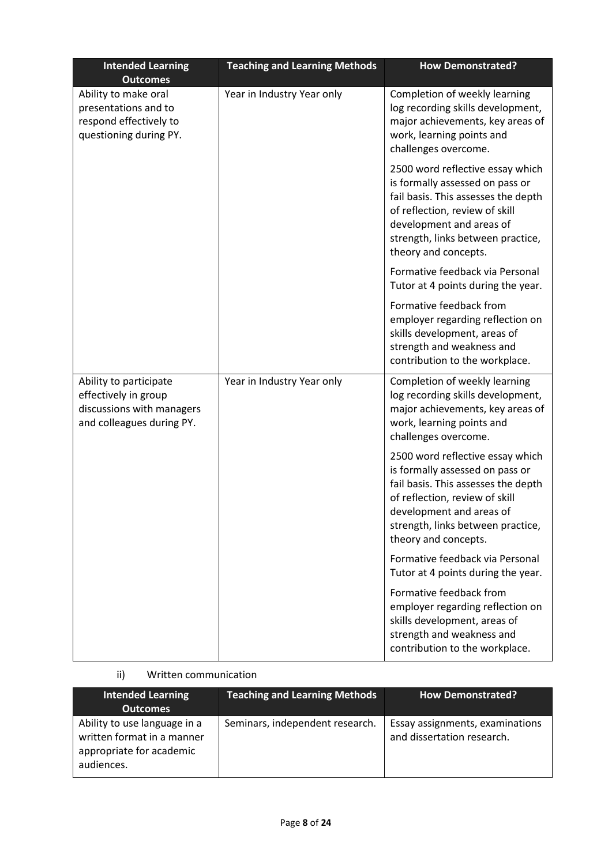| <b>Intended Learning</b><br><b>Outcomes</b>                                                              | <b>Teaching and Learning Methods</b> | <b>How Demonstrated?</b>                                                                                                                                                                                                              |
|----------------------------------------------------------------------------------------------------------|--------------------------------------|---------------------------------------------------------------------------------------------------------------------------------------------------------------------------------------------------------------------------------------|
| Ability to make oral<br>presentations and to<br>respond effectively to<br>questioning during PY.         | Year in Industry Year only           | Completion of weekly learning<br>log recording skills development,<br>major achievements, key areas of<br>work, learning points and<br>challenges overcome.                                                                           |
|                                                                                                          |                                      | 2500 word reflective essay which<br>is formally assessed on pass or<br>fail basis. This assesses the depth<br>of reflection, review of skill<br>development and areas of<br>strength, links between practice,<br>theory and concepts. |
|                                                                                                          |                                      | Formative feedback via Personal<br>Tutor at 4 points during the year.                                                                                                                                                                 |
|                                                                                                          |                                      | Formative feedback from<br>employer regarding reflection on<br>skills development, areas of<br>strength and weakness and<br>contribution to the workplace.                                                                            |
| Ability to participate<br>effectively in group<br>discussions with managers<br>and colleagues during PY. | Year in Industry Year only           | Completion of weekly learning<br>log recording skills development,<br>major achievements, key areas of<br>work, learning points and<br>challenges overcome.                                                                           |
|                                                                                                          |                                      | 2500 word reflective essay which<br>is formally assessed on pass or<br>fail basis. This assesses the depth<br>of reflection, review of skill<br>development and areas of<br>strength, links between practice,<br>theory and concepts. |
|                                                                                                          |                                      | Formative feedback via Personal<br>Tutor at 4 points during the year.                                                                                                                                                                 |
|                                                                                                          |                                      | Formative feedback from<br>employer regarding reflection on<br>skills development, areas of<br>strength and weakness and<br>contribution to the workplace.                                                                            |

# ii) Written communication

| <b>Intended Learning</b><br><b>Outcomes</b>                                                          | <b>Teaching and Learning Methods</b> | <b>How Demonstrated?</b>                                      |
|------------------------------------------------------------------------------------------------------|--------------------------------------|---------------------------------------------------------------|
| Ability to use language in a<br>written format in a manner<br>appropriate for academic<br>audiences. | Seminars, independent research.      | Essay assignments, examinations<br>and dissertation research. |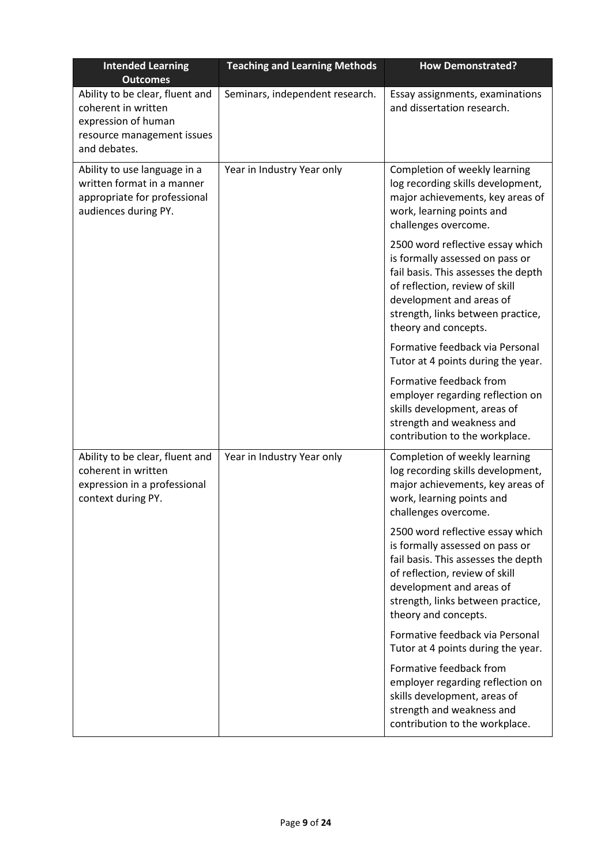| <b>Intended Learning</b><br><b>Outcomes</b>                                                                                 | <b>Teaching and Learning Methods</b> | <b>How Demonstrated?</b>                                                                                                                                                                                                              |
|-----------------------------------------------------------------------------------------------------------------------------|--------------------------------------|---------------------------------------------------------------------------------------------------------------------------------------------------------------------------------------------------------------------------------------|
| Ability to be clear, fluent and<br>coherent in written<br>expression of human<br>resource management issues<br>and debates. | Seminars, independent research.      | Essay assignments, examinations<br>and dissertation research.                                                                                                                                                                         |
| Ability to use language in a<br>written format in a manner<br>appropriate for professional<br>audiences during PY.          | Year in Industry Year only           | Completion of weekly learning<br>log recording skills development,<br>major achievements, key areas of<br>work, learning points and<br>challenges overcome.                                                                           |
|                                                                                                                             |                                      | 2500 word reflective essay which<br>is formally assessed on pass or<br>fail basis. This assesses the depth<br>of reflection, review of skill<br>development and areas of<br>strength, links between practice,<br>theory and concepts. |
|                                                                                                                             |                                      | Formative feedback via Personal<br>Tutor at 4 points during the year.                                                                                                                                                                 |
|                                                                                                                             |                                      | Formative feedback from<br>employer regarding reflection on<br>skills development, areas of<br>strength and weakness and<br>contribution to the workplace.                                                                            |
| Ability to be clear, fluent and<br>coherent in written<br>expression in a professional<br>context during PY.                | Year in Industry Year only           | Completion of weekly learning<br>log recording skills development,<br>major achievements, key areas of<br>work, learning points and<br>challenges overcome.                                                                           |
|                                                                                                                             |                                      | 2500 word reflective essay which<br>is formally assessed on pass or<br>fail basis. This assesses the depth<br>of reflection, review of skill<br>development and areas of<br>strength, links between practice,<br>theory and concepts. |
|                                                                                                                             |                                      | Formative feedback via Personal<br>Tutor at 4 points during the year.                                                                                                                                                                 |
|                                                                                                                             |                                      | Formative feedback from<br>employer regarding reflection on<br>skills development, areas of<br>strength and weakness and<br>contribution to the workplace.                                                                            |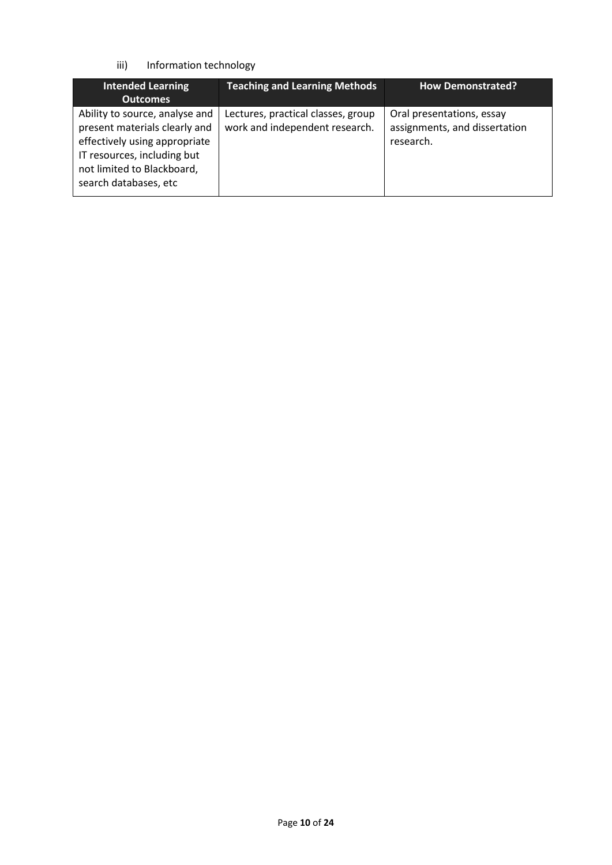## iii) Information technology

| <b>Intended Learning</b><br><b>Outcomes</b>                                                                                                                                            | <b>Teaching and Learning Methods</b>                                 | <b>How Demonstrated?</b>                                                |
|----------------------------------------------------------------------------------------------------------------------------------------------------------------------------------------|----------------------------------------------------------------------|-------------------------------------------------------------------------|
| Ability to source, analyse and<br>present materials clearly and<br>effectively using appropriate<br>IT resources, including but<br>not limited to Blackboard,<br>search databases, etc | Lectures, practical classes, group<br>work and independent research. | Oral presentations, essay<br>assignments, and dissertation<br>research. |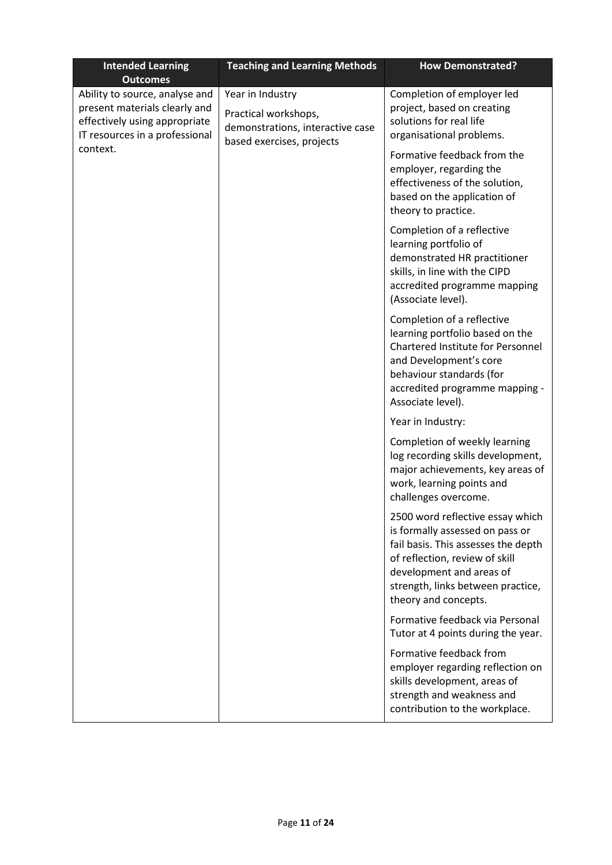| <b>Intended Learning</b><br><b>Outcomes</b>                                                                                        | <b>Teaching and Learning Methods</b>                                                                      | <b>How Demonstrated?</b>                                                                                                                                                                                                              |  |
|------------------------------------------------------------------------------------------------------------------------------------|-----------------------------------------------------------------------------------------------------------|---------------------------------------------------------------------------------------------------------------------------------------------------------------------------------------------------------------------------------------|--|
| Ability to source, analyse and<br>present materials clearly and<br>effectively using appropriate<br>IT resources in a professional | Year in Industry<br>Practical workshops,<br>demonstrations, interactive case<br>based exercises, projects | Completion of employer led<br>project, based on creating<br>solutions for real life<br>organisational problems.                                                                                                                       |  |
| context.                                                                                                                           |                                                                                                           | Formative feedback from the<br>employer, regarding the<br>effectiveness of the solution,<br>based on the application of<br>theory to practice.                                                                                        |  |
|                                                                                                                                    |                                                                                                           | Completion of a reflective<br>learning portfolio of<br>demonstrated HR practitioner<br>skills, in line with the CIPD<br>accredited programme mapping<br>(Associate level).                                                            |  |
|                                                                                                                                    |                                                                                                           | Completion of a reflective<br>learning portfolio based on the<br><b>Chartered Institute for Personnel</b><br>and Development's core<br>behaviour standards (for<br>accredited programme mapping -<br>Associate level).                |  |
|                                                                                                                                    |                                                                                                           | Year in Industry:                                                                                                                                                                                                                     |  |
|                                                                                                                                    |                                                                                                           | Completion of weekly learning<br>log recording skills development,<br>major achievements, key areas of<br>work, learning points and<br>challenges overcome.                                                                           |  |
|                                                                                                                                    |                                                                                                           | 2500 word reflective essay which<br>is formally assessed on pass or<br>fail basis. This assesses the depth<br>of reflection, review of skill<br>development and areas of<br>strength, links between practice,<br>theory and concepts. |  |
|                                                                                                                                    |                                                                                                           | Formative feedback via Personal<br>Tutor at 4 points during the year.                                                                                                                                                                 |  |
|                                                                                                                                    |                                                                                                           | Formative feedback from<br>employer regarding reflection on<br>skills development, areas of<br>strength and weakness and<br>contribution to the workplace.                                                                            |  |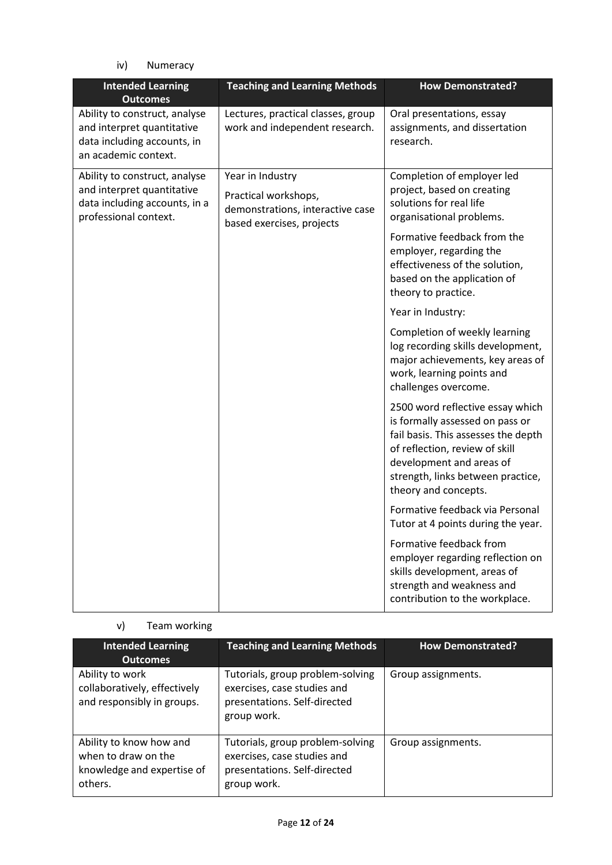iv) Numeracy

| <b>Intended Learning</b><br><b>Outcomes</b>                                                                           | <b>Teaching and Learning Methods</b>                                                                      | <b>How Demonstrated?</b>                                                                                                                                                                                                              |
|-----------------------------------------------------------------------------------------------------------------------|-----------------------------------------------------------------------------------------------------------|---------------------------------------------------------------------------------------------------------------------------------------------------------------------------------------------------------------------------------------|
| Ability to construct, analyse<br>and interpret quantitative<br>data including accounts, in<br>an academic context.    | Lectures, practical classes, group<br>work and independent research.                                      | Oral presentations, essay<br>assignments, and dissertation<br>research.                                                                                                                                                               |
| Ability to construct, analyse<br>and interpret quantitative<br>data including accounts, in a<br>professional context. | Year in Industry<br>Practical workshops,<br>demonstrations, interactive case<br>based exercises, projects | Completion of employer led<br>project, based on creating<br>solutions for real life<br>organisational problems.                                                                                                                       |
|                                                                                                                       |                                                                                                           | Formative feedback from the<br>employer, regarding the<br>effectiveness of the solution,<br>based on the application of<br>theory to practice.                                                                                        |
|                                                                                                                       |                                                                                                           | Year in Industry:                                                                                                                                                                                                                     |
|                                                                                                                       |                                                                                                           | Completion of weekly learning<br>log recording skills development,<br>major achievements, key areas of<br>work, learning points and<br>challenges overcome.                                                                           |
|                                                                                                                       |                                                                                                           | 2500 word reflective essay which<br>is formally assessed on pass or<br>fail basis. This assesses the depth<br>of reflection, review of skill<br>development and areas of<br>strength, links between practice,<br>theory and concepts. |
|                                                                                                                       |                                                                                                           | Formative feedback via Personal<br>Tutor at 4 points during the year.                                                                                                                                                                 |
|                                                                                                                       |                                                                                                           | Formative feedback from<br>employer regarding reflection on<br>skills development, areas of<br>strength and weakness and<br>contribution to the workplace.                                                                            |

# v) Team working

| <b>Intended Learning</b><br><b>Outcomes</b>                                             | <b>Teaching and Learning Methods</b>                                                                           | <b>How Demonstrated?</b> |
|-----------------------------------------------------------------------------------------|----------------------------------------------------------------------------------------------------------------|--------------------------|
| Ability to work<br>collaboratively, effectively<br>and responsibly in groups.           | Tutorials, group problem-solving<br>exercises, case studies and<br>presentations. Self-directed<br>group work. | Group assignments.       |
| Ability to know how and<br>when to draw on the<br>knowledge and expertise of<br>others. | Tutorials, group problem-solving<br>exercises, case studies and<br>presentations. Self-directed<br>group work. | Group assignments.       |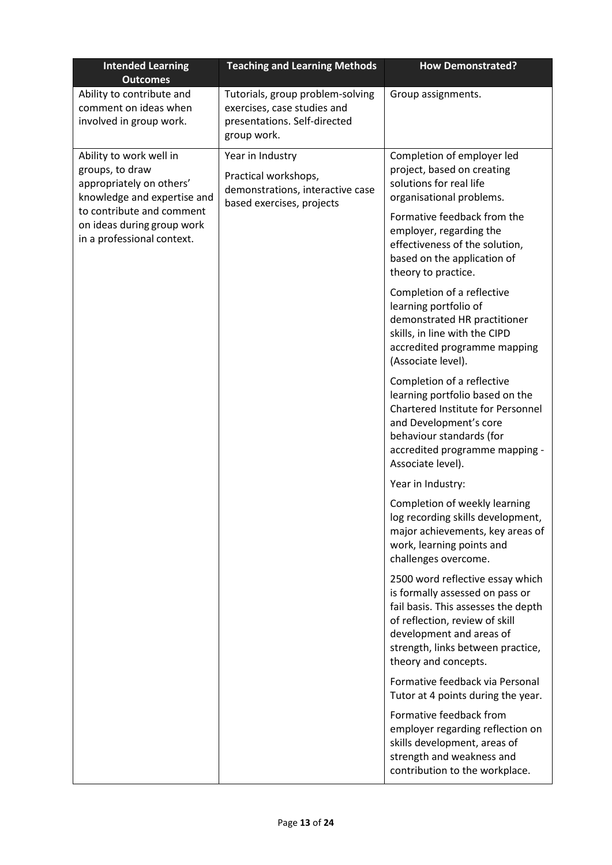| <b>Intended Learning</b><br><b>Outcomes</b>                                                           | <b>Teaching and Learning Methods</b>                                                                           | <b>How Demonstrated?</b>                                                                                                                                                                                                              |
|-------------------------------------------------------------------------------------------------------|----------------------------------------------------------------------------------------------------------------|---------------------------------------------------------------------------------------------------------------------------------------------------------------------------------------------------------------------------------------|
| Ability to contribute and<br>comment on ideas when<br>involved in group work.                         | Tutorials, group problem-solving<br>exercises, case studies and<br>presentations. Self-directed<br>group work. | Group assignments.                                                                                                                                                                                                                    |
| Ability to work well in<br>groups, to draw<br>appropriately on others'<br>knowledge and expertise and | Year in Industry<br>Practical workshops,<br>demonstrations, interactive case<br>based exercises, projects      | Completion of employer led<br>project, based on creating<br>solutions for real life<br>organisational problems.                                                                                                                       |
| to contribute and comment<br>on ideas during group work<br>in a professional context.                 |                                                                                                                | Formative feedback from the<br>employer, regarding the<br>effectiveness of the solution,<br>based on the application of<br>theory to practice.                                                                                        |
|                                                                                                       |                                                                                                                | Completion of a reflective<br>learning portfolio of<br>demonstrated HR practitioner<br>skills, in line with the CIPD<br>accredited programme mapping<br>(Associate level).                                                            |
|                                                                                                       |                                                                                                                | Completion of a reflective<br>learning portfolio based on the<br>Chartered Institute for Personnel<br>and Development's core<br>behaviour standards (for<br>accredited programme mapping -<br>Associate level).                       |
|                                                                                                       |                                                                                                                | Year in Industry:                                                                                                                                                                                                                     |
|                                                                                                       |                                                                                                                | Completion of weekly learning<br>log recording skills development,<br>major achievements, key areas of<br>work, learning points and<br>challenges overcome.                                                                           |
|                                                                                                       |                                                                                                                | 2500 word reflective essay which<br>is formally assessed on pass or<br>fail basis. This assesses the depth<br>of reflection, review of skill<br>development and areas of<br>strength, links between practice,<br>theory and concepts. |
|                                                                                                       |                                                                                                                | Formative feedback via Personal<br>Tutor at 4 points during the year.                                                                                                                                                                 |
|                                                                                                       |                                                                                                                | Formative feedback from<br>employer regarding reflection on<br>skills development, areas of<br>strength and weakness and<br>contribution to the workplace.                                                                            |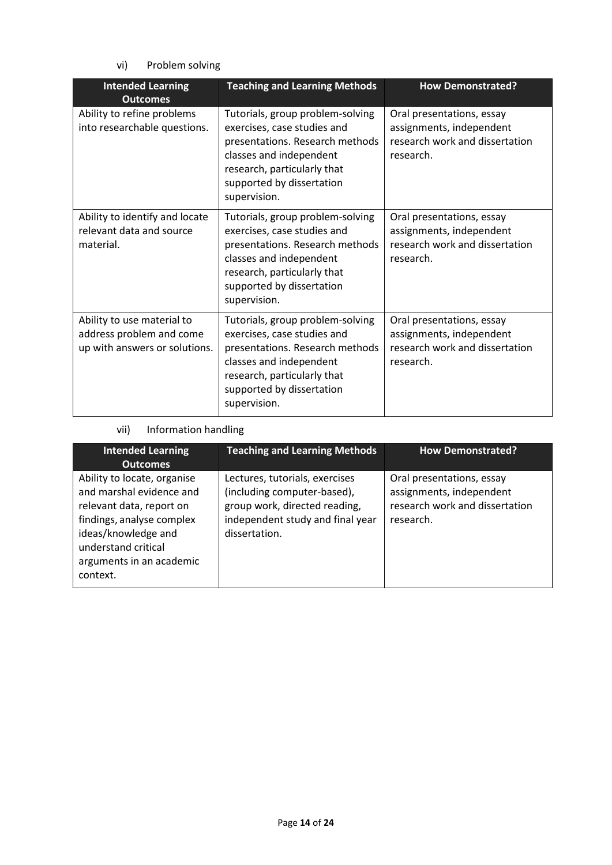vi) Problem solving

| <b>Intended Learning</b><br><b>Outcomes</b>                                             | <b>Teaching and Learning Methods</b>                                                                                                                                                                      | <b>How Demonstrated?</b>                                                                             |
|-----------------------------------------------------------------------------------------|-----------------------------------------------------------------------------------------------------------------------------------------------------------------------------------------------------------|------------------------------------------------------------------------------------------------------|
| Ability to refine problems<br>into researchable questions.                              | Tutorials, group problem-solving<br>exercises, case studies and<br>presentations. Research methods<br>classes and independent<br>research, particularly that<br>supported by dissertation<br>supervision. | Oral presentations, essay<br>assignments, independent<br>research work and dissertation<br>research. |
| Ability to identify and locate<br>relevant data and source<br>material.                 | Tutorials, group problem-solving<br>exercises, case studies and<br>presentations. Research methods<br>classes and independent<br>research, particularly that<br>supported by dissertation<br>supervision. | Oral presentations, essay<br>assignments, independent<br>research work and dissertation<br>research. |
| Ability to use material to<br>address problem and come<br>up with answers or solutions. | Tutorials, group problem-solving<br>exercises, case studies and<br>presentations. Research methods<br>classes and independent<br>research, particularly that<br>supported by dissertation<br>supervision. | Oral presentations, essay<br>assignments, independent<br>research work and dissertation<br>research. |

## vii) Information handling

| <b>Intended Learning</b><br><b>Outcomes</b>                                                                                                                                                            | <b>Teaching and Learning Methods</b>                                                                                                                | <b>How Demonstrated?</b>                                                                             |
|--------------------------------------------------------------------------------------------------------------------------------------------------------------------------------------------------------|-----------------------------------------------------------------------------------------------------------------------------------------------------|------------------------------------------------------------------------------------------------------|
| Ability to locate, organise<br>and marshal evidence and<br>relevant data, report on<br>findings, analyse complex<br>ideas/knowledge and<br>understand critical<br>arguments in an academic<br>context. | Lectures, tutorials, exercises<br>(including computer-based),<br>group work, directed reading,<br>independent study and final year<br>dissertation. | Oral presentations, essay<br>assignments, independent<br>research work and dissertation<br>research. |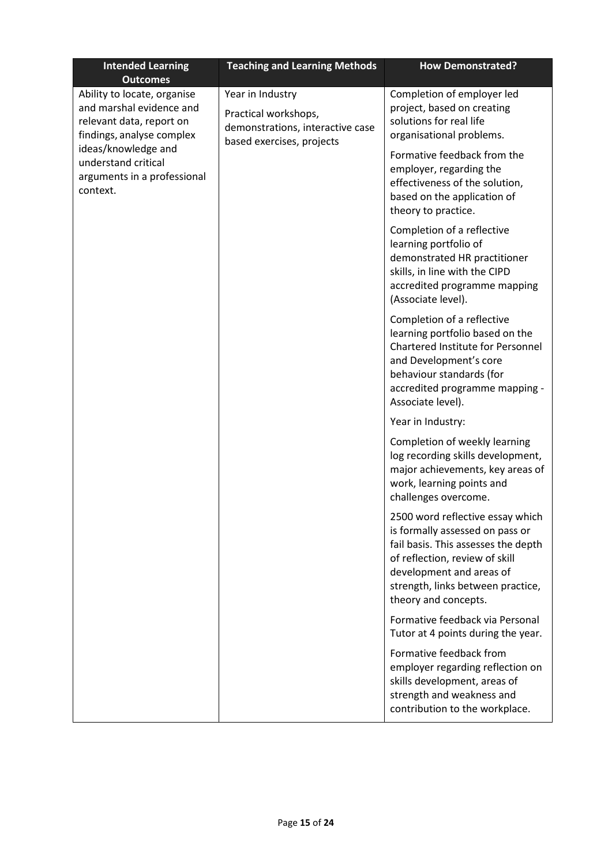| <b>Intended Learning</b><br><b>Outcomes</b>                                                                      | <b>Teaching and Learning Methods</b>                                                                      | <b>How Demonstrated?</b>                                                                                                                                                                                                              |  |  |
|------------------------------------------------------------------------------------------------------------------|-----------------------------------------------------------------------------------------------------------|---------------------------------------------------------------------------------------------------------------------------------------------------------------------------------------------------------------------------------------|--|--|
| Ability to locate, organise<br>and marshal evidence and<br>relevant data, report on<br>findings, analyse complex | Year in Industry<br>Practical workshops,<br>demonstrations, interactive case<br>based exercises, projects | Completion of employer led<br>project, based on creating<br>solutions for real life<br>organisational problems.                                                                                                                       |  |  |
| ideas/knowledge and<br>understand critical<br>arguments in a professional<br>context.                            |                                                                                                           | Formative feedback from the<br>employer, regarding the<br>effectiveness of the solution,<br>based on the application of<br>theory to practice.                                                                                        |  |  |
|                                                                                                                  |                                                                                                           | Completion of a reflective<br>learning portfolio of<br>demonstrated HR practitioner<br>skills, in line with the CIPD<br>accredited programme mapping<br>(Associate level).                                                            |  |  |
|                                                                                                                  |                                                                                                           | Completion of a reflective<br>learning portfolio based on the<br><b>Chartered Institute for Personnel</b><br>and Development's core<br>behaviour standards (for<br>accredited programme mapping -<br>Associate level).                |  |  |
|                                                                                                                  |                                                                                                           | Year in Industry:                                                                                                                                                                                                                     |  |  |
|                                                                                                                  |                                                                                                           | Completion of weekly learning<br>log recording skills development,<br>major achievements, key areas of<br>work, learning points and<br>challenges overcome.                                                                           |  |  |
|                                                                                                                  |                                                                                                           | 2500 word reflective essay which<br>is formally assessed on pass or<br>fail basis. This assesses the depth<br>of reflection, review of skill<br>development and areas of<br>strength, links between practice,<br>theory and concepts. |  |  |
|                                                                                                                  |                                                                                                           | Formative feedback via Personal<br>Tutor at 4 points during the year.                                                                                                                                                                 |  |  |
|                                                                                                                  |                                                                                                           | Formative feedback from<br>employer regarding reflection on<br>skills development, areas of<br>strength and weakness and<br>contribution to the workplace.                                                                            |  |  |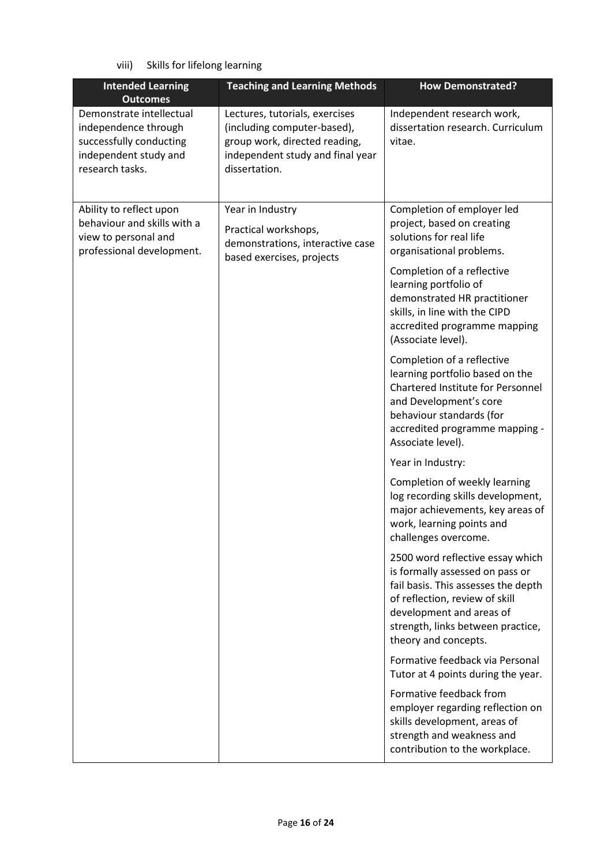viii) Skills for lifelong learning

| <b>Intended Learning</b><br><b>Outcomes</b>                                                                             | <b>Teaching and Learning Methods</b>                                                                                                                | <b>How Demonstrated?</b>                                                                                                                                                                                                              |
|-------------------------------------------------------------------------------------------------------------------------|-----------------------------------------------------------------------------------------------------------------------------------------------------|---------------------------------------------------------------------------------------------------------------------------------------------------------------------------------------------------------------------------------------|
| Demonstrate intellectual<br>independence through<br>successfully conducting<br>independent study and<br>research tasks. | Lectures, tutorials, exercises<br>(including computer-based),<br>group work, directed reading,<br>independent study and final year<br>dissertation. | Independent research work,<br>dissertation research. Curriculum<br>vitae.                                                                                                                                                             |
| Ability to reflect upon<br>behaviour and skills with a<br>view to personal and<br>professional development.             | Year in Industry<br>Practical workshops,<br>demonstrations, interactive case<br>based exercises, projects                                           | Completion of employer led<br>project, based on creating<br>solutions for real life<br>organisational problems.                                                                                                                       |
|                                                                                                                         |                                                                                                                                                     | Completion of a reflective<br>learning portfolio of<br>demonstrated HR practitioner<br>skills, in line with the CIPD<br>accredited programme mapping<br>(Associate level).                                                            |
|                                                                                                                         |                                                                                                                                                     | Completion of a reflective<br>learning portfolio based on the<br>Chartered Institute for Personnel<br>and Development's core<br>behaviour standards (for<br>accredited programme mapping -<br>Associate level).                       |
|                                                                                                                         |                                                                                                                                                     | Year in Industry:                                                                                                                                                                                                                     |
|                                                                                                                         |                                                                                                                                                     | Completion of weekly learning<br>log recording skills development,<br>major achievements, key areas of<br>work, learning points and<br>challenges overcome.                                                                           |
|                                                                                                                         |                                                                                                                                                     | 2500 word reflective essay which<br>is formally assessed on pass or<br>fail basis. This assesses the depth<br>of reflection, review of skill<br>development and areas of<br>strength, links between practice,<br>theory and concepts. |
|                                                                                                                         |                                                                                                                                                     | Formative feedback via Personal<br>Tutor at 4 points during the year.                                                                                                                                                                 |
|                                                                                                                         |                                                                                                                                                     | Formative feedback from<br>employer regarding reflection on<br>skills development, areas of<br>strength and weakness and<br>contribution to the workplace.                                                                            |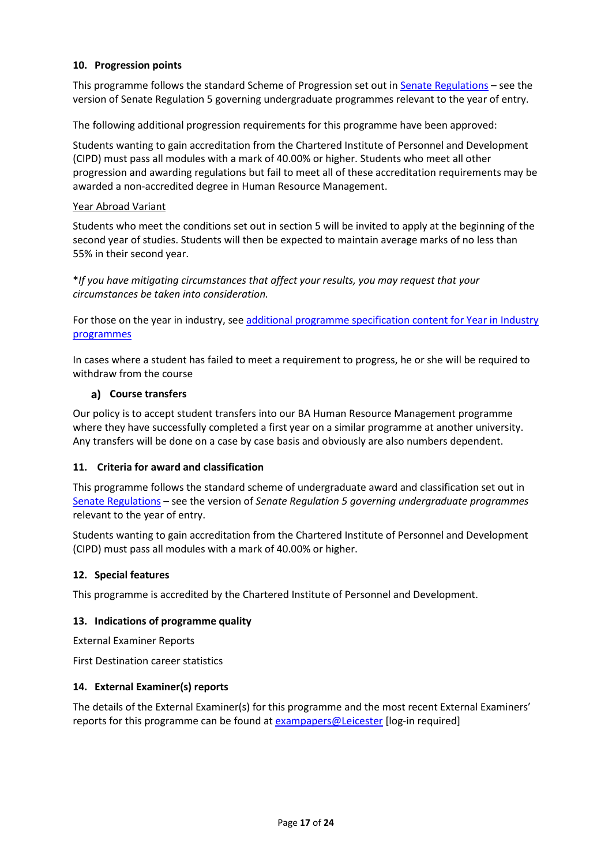#### **10. Progression points**

This programme follows the standard Scheme of Progression set out i[n Senate Regulations](http://www.le.ac.uk/senate-regulations) – see the version of Senate Regulation 5 governing undergraduate programmes relevant to the year of entry.

The following additional progression requirements for this programme have been approved:

Students wanting to gain accreditation from the Chartered Institute of Personnel and Development (CIPD) must pass all modules with a mark of 40.00% or higher. Students who meet all other progression and awarding regulations but fail to meet all of these accreditation requirements may be awarded a non-accredited degree in Human Resource Management.

#### Year Abroad Variant

Students who meet the conditions set out in section 5 will be invited to apply at the beginning of the second year of studies. Students will then be expected to maintain average marks of no less than 55% in their second year.

**\****If you have mitigating circumstances that affect your results, you may request that your circumstances be taken into consideration.*

For those on the year in industry, se[e additional programme specification content for Year in Industry](https://www2.le.ac.uk/offices/sas2/courses/documentation/undergraduate-programme-specification-content-for-year-in-industry-programme-variants)  [programmes](https://www2.le.ac.uk/offices/sas2/courses/documentation/undergraduate-programme-specification-content-for-year-in-industry-programme-variants)

In cases where a student has failed to meet a requirement to progress, he or she will be required to withdraw from the course

#### **Course transfers**

Our policy is to accept student transfers into our BA Human Resource Management programme where they have successfully completed a first year on a similar programme at another university. Any transfers will be done on a case by case basis and obviously are also numbers dependent.

#### **11. Criteria for award and classification**

This programme follows the standard scheme of undergraduate award and classification set out in [Senate Regulations](http://www.le.ac.uk/senate-regulations) – see the version of *Senate Regulation 5 governing undergraduate programmes* relevant to the year of entry.

Students wanting to gain accreditation from the Chartered Institute of Personnel and Development (CIPD) must pass all modules with a mark of 40.00% or higher.

## **12. Special features**

This programme is accredited by the Chartered Institute of Personnel and Development.

#### **13. Indications of programme quality**

External Examiner Reports

First Destination career statistics

#### **14. External Examiner(s) reports**

The details of the External Examiner(s) for this programme and the most recent External Examiners' reports for this programme can be found at **[exampapers@Leicester](https://exampapers.le.ac.uk/)** [log-in required]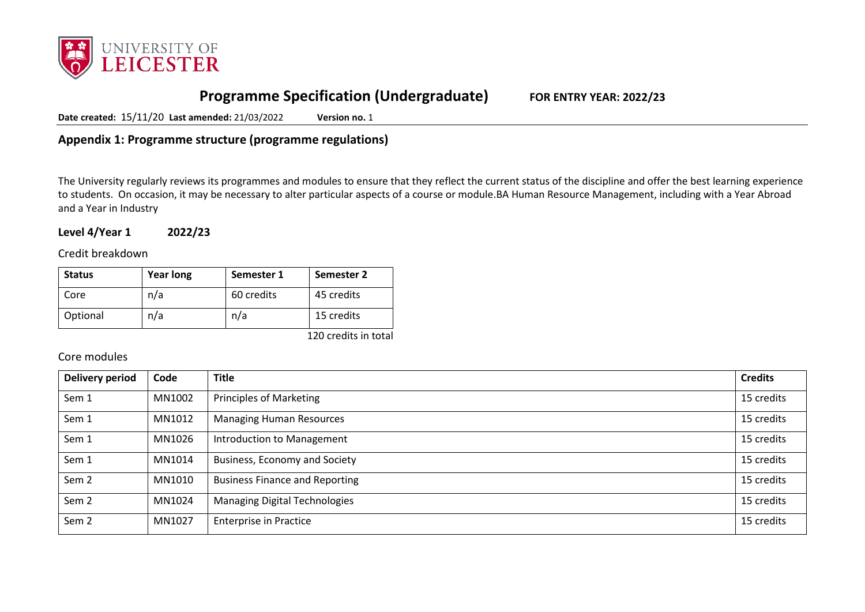

# **Programme Specification (Undergraduate) FOR ENTRY YEAR: 2022/23**

**Date created:** 15/11/20 **Last amended:** 21/03/2022 **Version no.** 1

**Appendix 1: Programme structure (programme regulations)**

The University regularly reviews its programmes and modules to ensure that they reflect the current status of the discipline and offer the best learning experience to students. On occasion, it may be necessary to alter particular aspects of a course or module.BA Human Resource Management, including with a Year Abroad and a Year in Industry

**Level 4/Year 1 2022/23**

Credit breakdown

| <b>Status</b> | <b>Year long</b> | Semester 1 | Semester 2 |
|---------------|------------------|------------|------------|
| Core          | n/a              | 60 credits | 45 credits |
| Optional      | n/a              | n/a        | 15 credits |

120 credits in total

## Core modules

| <b>Delivery period</b> | Code   | <b>Title</b>                          | <b>Credits</b> |
|------------------------|--------|---------------------------------------|----------------|
| Sem 1                  | MN1002 | Principles of Marketing               | 15 credits     |
| Sem 1                  | MN1012 | <b>Managing Human Resources</b>       | 15 credits     |
| Sem 1                  | MN1026 | Introduction to Management            | 15 credits     |
| Sem 1                  | MN1014 | Business, Economy and Society         | 15 credits     |
| Sem <sub>2</sub>       | MN1010 | <b>Business Finance and Reporting</b> | 15 credits     |
| Sem <sub>2</sub>       | MN1024 | <b>Managing Digital Technologies</b>  | 15 credits     |
| Sem <sub>2</sub>       | MN1027 | <b>Enterprise in Practice</b>         | 15 credits     |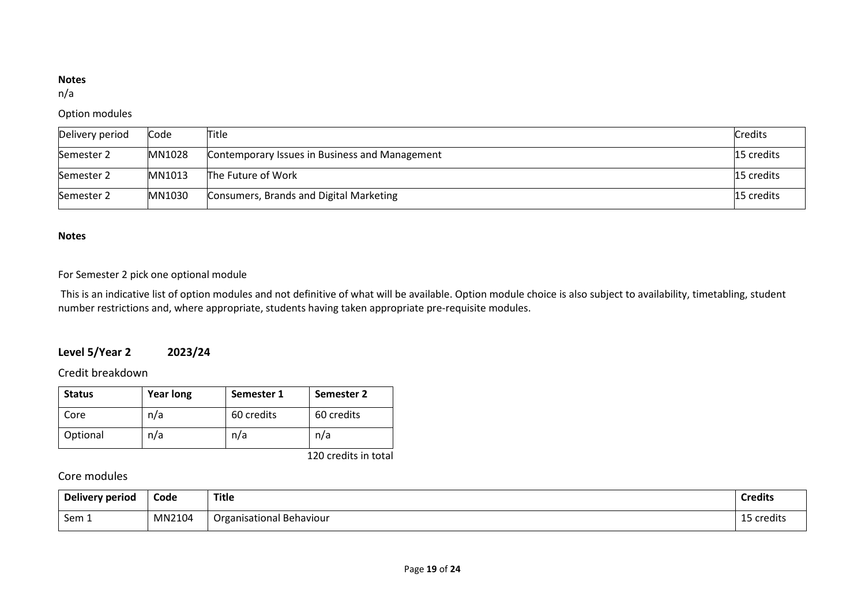#### **Notes**

n/a

## Option modules

| Delivery period | Code   | Title                                          | <b>Credits</b> |
|-----------------|--------|------------------------------------------------|----------------|
| Semester 2      | MN1028 | Contemporary Issues in Business and Management | 15 credits     |
| Semester 2      | MN1013 | The Future of Work                             | 15 credits     |
| Semester 2      | MN1030 | Consumers, Brands and Digital Marketing        | 15 credits     |

#### **Notes**

## For Semester 2 pick one optional module

This is an indicative list of option modules and not definitive of what will be available. Option module choice is also subject to availability, timetabling, student number restrictions and, where appropriate, students having taken appropriate pre-requisite modules. 

# **Level 5/Year 2 2023/24**

# Credit breakdown

| <b>Status</b> | <b>Year long</b> | Semester 1 | <b>Semester 2</b> |
|---------------|------------------|------------|-------------------|
| Core          | n/a              | 60 credits | 60 credits        |
| Optional      | n/a              | n/a        | n/a               |

120 credits in total

# Core modules

| Delivery period  | Code   | Title                    | Credits |
|------------------|--------|--------------------------|---------|
| Sem <sub>-</sub> | MN2104 | Organisational Behaviour | -redit. |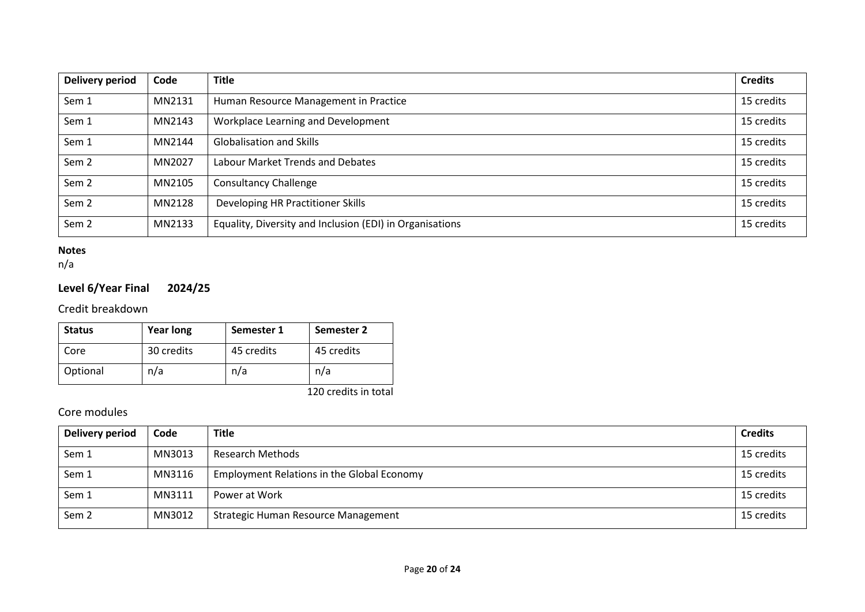| <b>Delivery period</b> | Code   | <b>Title</b>                                             | <b>Credits</b> |
|------------------------|--------|----------------------------------------------------------|----------------|
| Sem 1                  | MN2131 | Human Resource Management in Practice                    | 15 credits     |
| Sem 1                  | MN2143 | Workplace Learning and Development                       | 15 credits     |
| Sem 1                  | MN2144 | <b>Globalisation and Skills</b>                          | 15 credits     |
| Sem <sub>2</sub>       | MN2027 | Labour Market Trends and Debates                         | 15 credits     |
| Sem <sub>2</sub>       | MN2105 | <b>Consultancy Challenge</b>                             | 15 credits     |
| Sem <sub>2</sub>       | MN2128 | Developing HR Practitioner Skills                        | 15 credits     |
| Sem <sub>2</sub>       | MN2133 | Equality, Diversity and Inclusion (EDI) in Organisations | 15 credits     |

## **Notes**

n/a

# **Level 6/Year Final 2024/25**

Credit breakdown

| <b>Status</b> | <b>Year long</b> | Semester 1 | Semester 2 |
|---------------|------------------|------------|------------|
| Core          | 30 credits       | 45 credits | 45 credits |
| Optional      | n/a              | n/a        | n/a        |

120 credits in total

# Core modules

| Delivery period  | Code   | <b>Title</b>                                      | <b>Credits</b> |
|------------------|--------|---------------------------------------------------|----------------|
| Sem 1            | MN3013 | <b>Research Methods</b>                           | 15 credits     |
| Sem 1            | MN3116 | <b>Employment Relations in the Global Economy</b> | 15 credits     |
| Sem 1            | MN3111 | Power at Work                                     | 15 credits     |
| Sem <sub>2</sub> | MN3012 | Strategic Human Resource Management               | 15 credits     |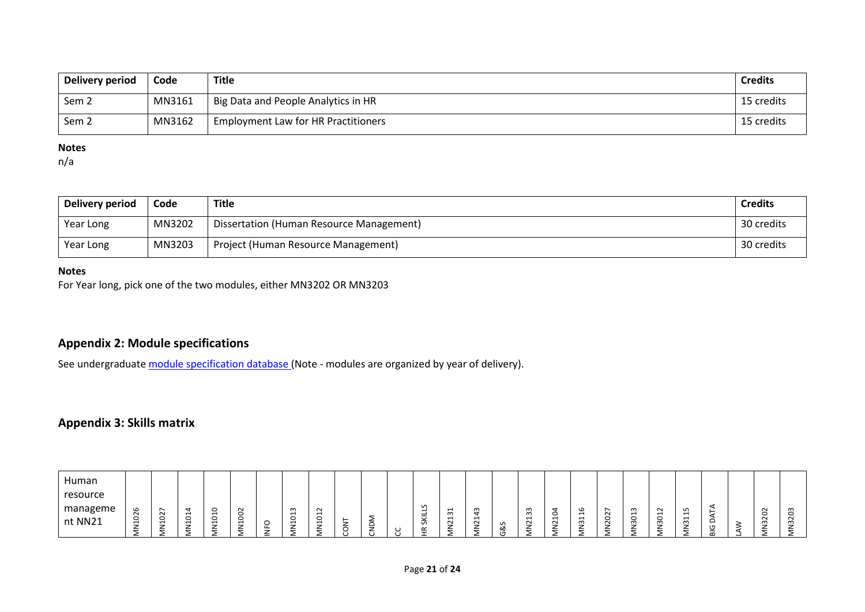| Delivery period  | Code   | Title                                            | <b>Credits</b> |
|------------------|--------|--------------------------------------------------|----------------|
| Sem <sub>2</sub> | MN3161 | <sup>1</sup> Big Data and People Analytics in HR | 15 credits     |
| Sem <sub>2</sub> | MN3162 | <b>Employment Law for HR Practitioners</b>       | 15 credits     |

#### **Notes**

n/a

| Delivery period | Code   | Title                                    | <b>Credits</b> |
|-----------------|--------|------------------------------------------|----------------|
| Year Long       | MN3202 | Dissertation (Human Resource Management) | 30 credits     |
| Year Long       | MN3203 | Project (Human Resource Management)      | 30 credits     |

### **Notes**

For Year long, pick one of the two modules, either MN3202 OR MN3203

# **Appendix 2: Module specifications**

See undergraduat[e module specification database](http://www.le.ac.uk/sas/courses/documentation) (Note - modules are organized by year of delivery).

# **Appendix 3: Skills matrix**

| Human<br>resource<br>manageme | G                        | ∼<br>$\sim$<br>᠆ | -<br>$\overline{\phantom{0}}$ | -<br>ັ<br>$\blacksquare$ | $\sim$<br>-<br>c                                       |          | ന<br>$\overline{\phantom{0}}$<br>$\circ$ | $\sim$<br>$\overline{\phantom{0}}$<br>$\circ$          |   |  | v<br>-<br>-<br>-                            | $\overline{\phantom{0}}$<br>m<br>$\blacksquare$ | m<br>$\mathbf -$<br>$\overline{ }$ |                | ന<br>ന<br>$\overline{ }$ | $\overline{\phantom{0}}$ | G<br>−<br>$\mathbf{\mathbf{\mathbf{\mathbf{\mathbf{\mathbf{\mathbf{\mathbf{H}}}}}}}$ | $\sim$       | $\overline{\phantom{0}}$<br>○ | $\sim$<br>$\overline{\phantom{0}}$<br>$\circ$ | ഗ<br>$\overline{ }$<br>$\overline{\phantom{0}}$ |                                    | $\sim$<br>$\circ$<br>$\sim$ | ന |
|-------------------------------|--------------------------|------------------|-------------------------------|--------------------------|--------------------------------------------------------|----------|------------------------------------------|--------------------------------------------------------|---|--|---------------------------------------------|-------------------------------------------------|------------------------------------|----------------|--------------------------|--------------------------|--------------------------------------------------------------------------------------|--------------|-------------------------------|-----------------------------------------------|-------------------------------------------------|------------------------------------|-----------------------------|---|
| nt NN21                       | $\overline{\phantom{0}}$ | ٮ<br>−<br>_      | ٮ<br>H<br>-<br>∸              | ◡<br>$\blacksquare$<br>_ | $\mathbf{\mathbf{\mathbf{\mathsf{H}}}}$<br>-<br>∸<br>- | ட<br>$=$ | ⊣<br>-<br>_<br>-                         | $\mathbf{\mathbf{\mathbf{\mathsf{H}}}}$<br>-<br>_<br>- | – |  | $\Omega$<br>$\tilde{\phantom{a}}$<br>ட<br>- | $\sim$<br>-<br>_                                | $\sim$<br>-                        | ഗ<br>ಂಶ<br>( m | $\sim$<br>-<br>ے         | $\sim$<br>-<br>_<br>-    | ന<br>-<br>ے<br>-                                                                     | $\sim$<br>╺╺ | _                             | S<br>-<br>∸                                   | $\omega$<br>-<br>_<br>-                         | ৩<br>-<br>$\overline{\phantom{a}}$ | $\omega$<br>-<br>_          | ന |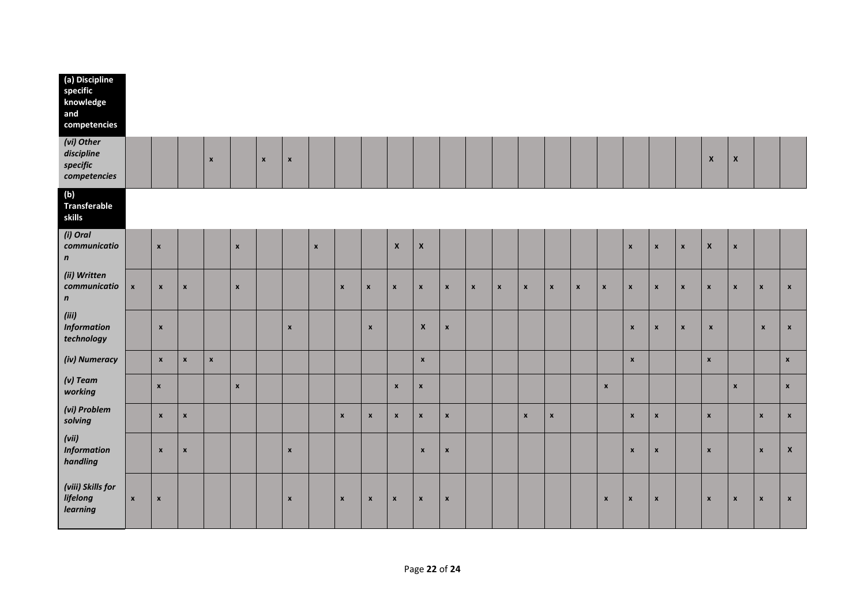| (a) Discipline<br>specific<br>knowledge<br>and<br>competencies |                    |                           |                    |                    |                    |                    |                           |                    |                           |                    |                    |                    |                    |              |                    |                    |                    |              |                    |                           |                    |                    |                    |                    |                    |                    |
|----------------------------------------------------------------|--------------------|---------------------------|--------------------|--------------------|--------------------|--------------------|---------------------------|--------------------|---------------------------|--------------------|--------------------|--------------------|--------------------|--------------|--------------------|--------------------|--------------------|--------------|--------------------|---------------------------|--------------------|--------------------|--------------------|--------------------|--------------------|--------------------|
| (vi) Other<br>discipline<br>specific<br>competencies           |                    |                           |                    | $\pmb{\times}$     |                    | $\pmb{\mathsf{x}}$ | $\boldsymbol{\mathsf{x}}$ |                    |                           |                    |                    |                    |                    |              |                    |                    |                    |              |                    |                           |                    |                    | $\pmb{\mathsf{x}}$ | $\pmb{\mathsf{X}}$ |                    |                    |
| (b)<br>Transferable<br>skills                                  |                    |                           |                    |                    |                    |                    |                           |                    |                           |                    |                    |                    |                    |              |                    |                    |                    |              |                    |                           |                    |                    |                    |                    |                    |                    |
| (i) Oral<br>communicatio<br>$\pmb{n}$                          |                    | $\pmb{\times}$            |                    |                    | $\pmb{\mathsf{x}}$ |                    |                           | $\pmb{\mathsf{x}}$ |                           |                    | $\pmb{\mathsf{X}}$ | $\pmb{\mathsf{x}}$ |                    |              |                    |                    |                    |              |                    | $\pmb{\times}$            | $\pmb{\mathsf{x}}$ | $\pmb{\mathsf{x}}$ | $\pmb{\mathsf{x}}$ | $\pmb{\times}$     |                    |                    |
| (ii) Written<br>communicatio<br>$\mathbf n$                    | $\pmb{\mathsf{x}}$ | $\pmb{\mathsf{x}}$        | $\pmb{\mathsf{x}}$ |                    | $\pmb{\mathsf{x}}$ |                    |                           |                    | $\mathbf{x}$              | $\pmb{\mathsf{x}}$ | $\pmb{\mathsf{x}}$ | $\pmb{\mathsf{x}}$ | $\pmb{\mathsf{x}}$ | $\mathbf{x}$ | $\pmb{\mathsf{x}}$ | $\mathbf{x}$       | $\pmb{\mathsf{x}}$ | $\mathbf{x}$ | $\pmb{\mathsf{x}}$ | $\pmb{\mathsf{x}}$        | $\pmb{\mathsf{x}}$ | $\pmb{\chi}$       | $\pmb{\mathsf{x}}$ | $\pmb{\mathsf{x}}$ | $\mathbf{x}$       | $\pmb{\mathsf{x}}$ |
| (iii)<br><b>Information</b><br>technology                      |                    | $\pmb{\mathsf{x}}$        |                    |                    |                    |                    | $\pmb{\mathsf{x}}$        |                    |                           | $\pmb{\mathsf{x}}$ |                    | $\mathbf{x}$       | $\pmb{\mathsf{x}}$ |              |                    |                    |                    |              |                    | $\pmb{\times}$            | $\pmb{\mathsf{x}}$ | $\pmb{\mathsf{x}}$ | $\pmb{\mathsf{x}}$ |                    | $\pmb{\mathsf{x}}$ | $\pmb{\mathsf{x}}$ |
| (iv) Numeracy                                                  |                    | $\pmb{\mathsf{x}}$        | $\mathbf{x}$       | $\pmb{\mathsf{x}}$ |                    |                    |                           |                    |                           |                    |                    | $\mathbf{x}$       |                    |              |                    |                    |                    |              |                    | $\pmb{\mathsf{x}}$        |                    |                    | $\mathbf{x}$       |                    |                    | $\mathbf{x}$       |
| $(v)$ Team<br>working                                          |                    | $\pmb{\mathsf{x}}$        |                    |                    | $\pmb{\mathsf{x}}$ |                    |                           |                    |                           |                    | $\pmb{\mathsf{x}}$ | $\pmb{\mathsf{x}}$ |                    |              |                    |                    |                    |              | $\pmb{\mathsf{x}}$ |                           |                    |                    |                    | $\pmb{\times}$     |                    | $\mathbf{x}$       |
| (vi) Problem<br>solving                                        |                    | $\pmb{\mathsf{x}}$        | $\pmb{\mathsf{x}}$ |                    |                    |                    |                           |                    | $\pmb{\mathsf{x}}$        | $\pmb{\mathsf{x}}$ | $\pmb{\mathsf{x}}$ | $\pmb{\chi}$       | $\pmb{\mathsf{x}}$ |              |                    | $\pmb{\mathsf{x}}$ | $\pmb{\mathsf{x}}$ |              |                    | $\pmb{\mathsf{x}}$        | $\pmb{\mathsf{x}}$ |                    | $\pmb{\mathsf{x}}$ |                    | $\pmb{\mathsf{x}}$ | $\pmb{\mathsf{x}}$ |
| (vii)<br><b>Information</b><br>handling                        |                    | $\pmb{\mathsf{x}}$        | $\pmb{\mathsf{x}}$ |                    |                    |                    | $\pmb{\times}$            |                    |                           |                    |                    | $\mathbf{x}$       | $\pmb{\mathsf{x}}$ |              |                    |                    |                    |              |                    | $\pmb{\mathsf{x}}$        | $\mathbf{x}$       |                    | x                  |                    | $\pmb{\mathsf{x}}$ | $\pmb{\mathsf{x}}$ |
| (viii) Skills for<br>lifelong<br>learning                      | $\pmb{\mathsf{x}}$ | $\boldsymbol{\mathsf{x}}$ |                    |                    |                    |                    | $\boldsymbol{x}$          |                    | $\boldsymbol{\mathsf{x}}$ | $\pmb{\mathsf{x}}$ | $\pmb{\mathsf{x}}$ | $\pmb{\chi}$       | $\pmb{\mathsf{x}}$ |              |                    |                    |                    |              | $\pmb{\mathsf{x}}$ | $\boldsymbol{\mathsf{x}}$ | $\pmb{\chi}$       |                    | $\pmb{\mathsf{x}}$ | $\pmb{\mathsf{x}}$ | $\pmb{\mathsf{x}}$ | $\pmb{\mathsf{x}}$ |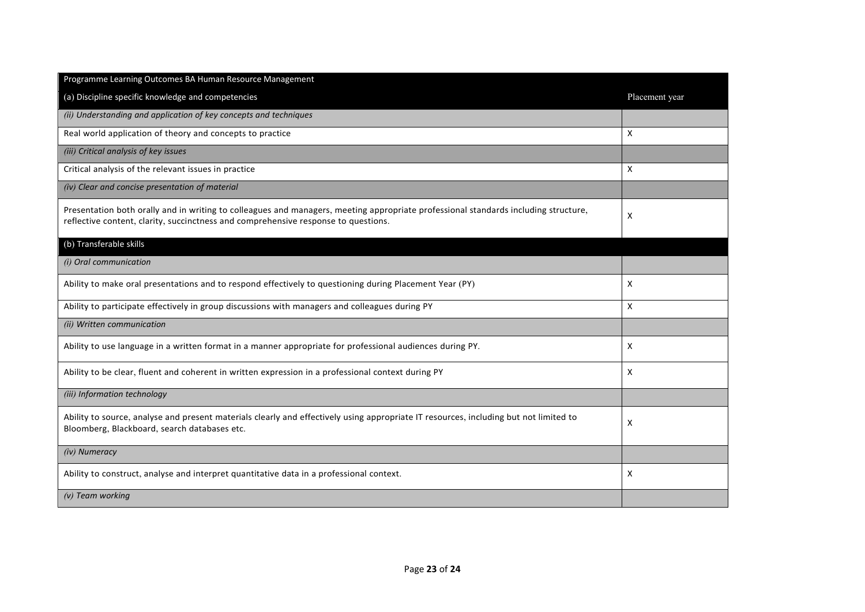| Programme Learning Outcomes BA Human Resource Management                                                                                                                                                                  |                |
|---------------------------------------------------------------------------------------------------------------------------------------------------------------------------------------------------------------------------|----------------|
| (a) Discipline specific knowledge and competencies                                                                                                                                                                        | Placement year |
| (ii) Understanding and application of key concepts and techniques                                                                                                                                                         |                |
| Real world application of theory and concepts to practice                                                                                                                                                                 | X              |
| (iii) Critical analysis of key issues                                                                                                                                                                                     |                |
| Critical analysis of the relevant issues in practice                                                                                                                                                                      | X              |
| (iv) Clear and concise presentation of material                                                                                                                                                                           |                |
| Presentation both orally and in writing to colleagues and managers, meeting appropriate professional standards including structure,<br>reflective content, clarity, succinctness and comprehensive response to questions. | X              |
| (b) Transferable skills                                                                                                                                                                                                   |                |
| (i) Oral communication                                                                                                                                                                                                    |                |
| Ability to make oral presentations and to respond effectively to questioning during Placement Year (PY)                                                                                                                   | X              |
| Ability to participate effectively in group discussions with managers and colleagues during PY                                                                                                                            | X              |
| (ii) Written communication                                                                                                                                                                                                |                |
| Ability to use language in a written format in a manner appropriate for professional audiences during PY.                                                                                                                 | X              |
| Ability to be clear, fluent and coherent in written expression in a professional context during PY                                                                                                                        | X              |
| (iii) Information technology                                                                                                                                                                                              |                |
| Ability to source, analyse and present materials clearly and effectively using appropriate IT resources, including but not limited to<br>Bloomberg, Blackboard, search databases etc.                                     | X              |
| (iv) Numeracy                                                                                                                                                                                                             |                |
| Ability to construct, analyse and interpret quantitative data in a professional context.                                                                                                                                  | X              |
| $(v)$ Team working                                                                                                                                                                                                        |                |